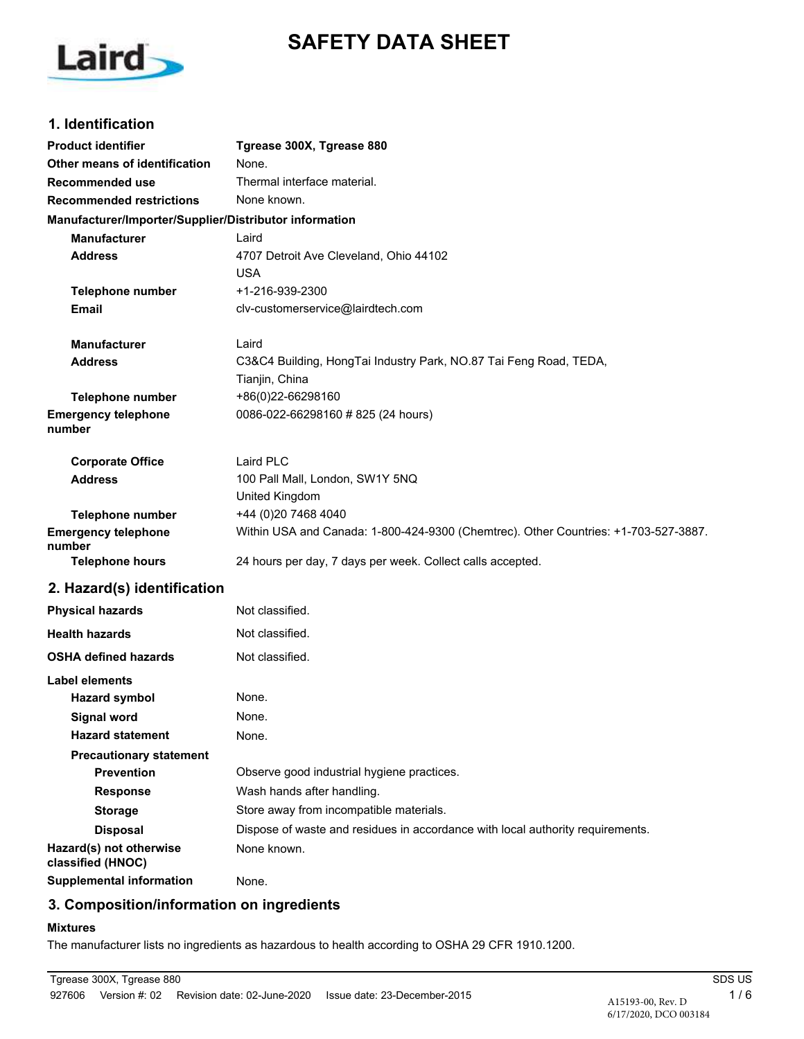# **SAFETY DATA SHEET**



# **1. Identification**

| <b>Product identifier</b>                                | Tgrease 300X, Tgrease 880                                                           |  |  |
|----------------------------------------------------------|-------------------------------------------------------------------------------------|--|--|
| Other means of identification                            | None.                                                                               |  |  |
| Recommended use                                          | Thermal interface material.                                                         |  |  |
| <b>Recommended restrictions</b>                          | None known.                                                                         |  |  |
| Manufacturer/Importer/Supplier/Distributor information   |                                                                                     |  |  |
| <b>Manufacturer</b>                                      | Laird                                                                               |  |  |
| <b>Address</b><br>4707 Detroit Ave Cleveland, Ohio 44102 |                                                                                     |  |  |
|                                                          | USA                                                                                 |  |  |
| <b>Telephone number</b>                                  | +1-216-939-2300                                                                     |  |  |
| <b>Email</b>                                             | clv-customerservice@lairdtech.com                                                   |  |  |
| <b>Manufacturer</b>                                      | Laird                                                                               |  |  |
| <b>Address</b>                                           | C3&C4 Building, HongTai Industry Park, NO.87 Tai Feng Road, TEDA,                   |  |  |
|                                                          | Tianjin, China                                                                      |  |  |
| Telephone number                                         | +86(0)22-66298160                                                                   |  |  |
| <b>Emergency telephone</b><br>number                     | 0086-022-66298160 # 825 (24 hours)                                                  |  |  |
| <b>Corporate Office</b>                                  | Laird PLC                                                                           |  |  |
| <b>Address</b>                                           | 100 Pall Mall, London, SW1Y 5NQ                                                     |  |  |
|                                                          | United Kingdom                                                                      |  |  |
| <b>Telephone number</b>                                  | +44 (0)20 7468 4040                                                                 |  |  |
| <b>Emergency telephone</b><br>number                     | Within USA and Canada: 1-800-424-9300 (Chemtrec). Other Countries: +1-703-527-3887. |  |  |
| <b>Telephone hours</b>                                   | 24 hours per day, 7 days per week. Collect calls accepted.                          |  |  |
| 2. Hazard(s) identification                              |                                                                                     |  |  |
| <b>Physical hazards</b>                                  | Not classified.                                                                     |  |  |
| <b>Health hazards</b>                                    | Not classified.                                                                     |  |  |
| <b>OSHA defined hazards</b>                              | Not classified.                                                                     |  |  |
| Label elements                                           |                                                                                     |  |  |
| <b>Hazard symbol</b>                                     | None.                                                                               |  |  |
| <b>Signal word</b>                                       | None.                                                                               |  |  |
| <b>Hazard statement</b>                                  | None.                                                                               |  |  |
| <b>Precautionary statement</b>                           |                                                                                     |  |  |
| <b>Prevention</b>                                        | Observe good industrial hygiene practices.                                          |  |  |
| <b>Response</b>                                          | Wash hands after handling.                                                          |  |  |
| <b>Storage</b>                                           | Store away from incompatible materials.                                             |  |  |
| <b>Disposal</b>                                          | Dispose of waste and residues in accordance with local authority requirements.      |  |  |
| Hazard(s) not otherwise<br>classified (HNOC)             | None known.                                                                         |  |  |

**Supplemental information** None.

### **3. Composition/information on ingredients**

#### **Mixtures**

The manufacturer lists no ingredients as hazardous to health according to OSHA 29 CFR 1910.1200.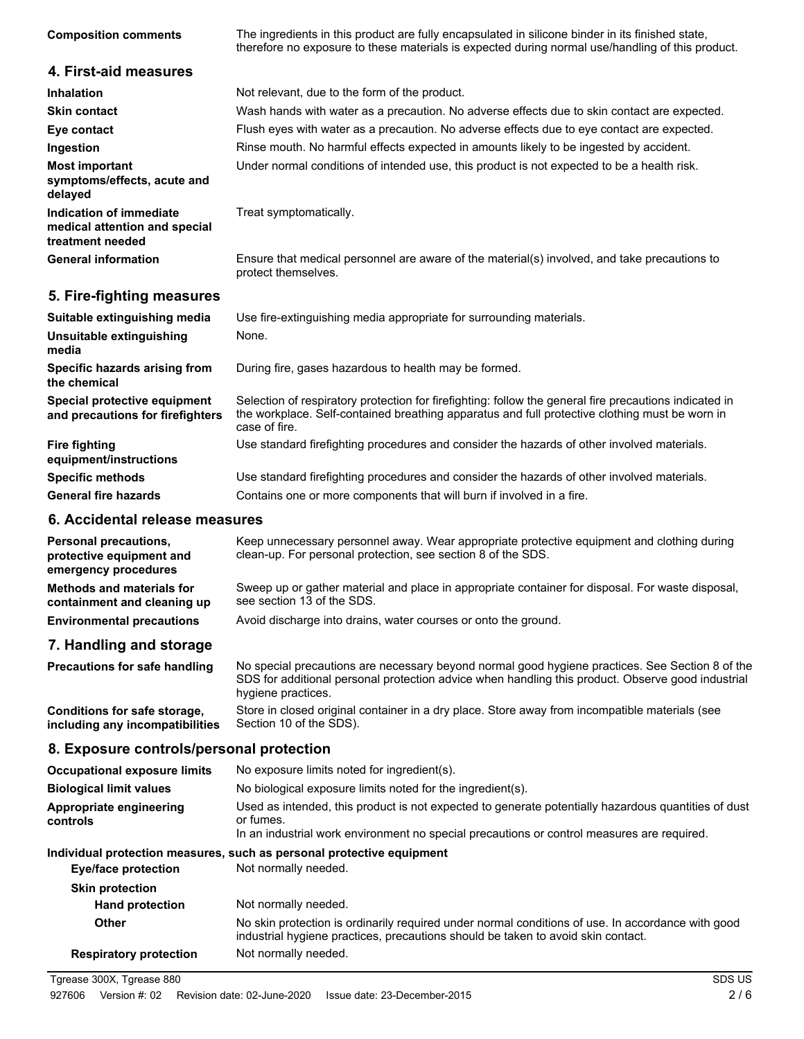| <b>Composition comments</b>                                                  | The ingredients in this product are fully encapsulated in silicone binder in its finished state,<br>therefore no exposure to these materials is expected during normal use/handling of this product.                      |
|------------------------------------------------------------------------------|---------------------------------------------------------------------------------------------------------------------------------------------------------------------------------------------------------------------------|
| 4. First-aid measures                                                        |                                                                                                                                                                                                                           |
| Inhalation                                                                   | Not relevant, due to the form of the product.                                                                                                                                                                             |
| <b>Skin contact</b>                                                          | Wash hands with water as a precaution. No adverse effects due to skin contact are expected.                                                                                                                               |
| Eye contact                                                                  | Flush eyes with water as a precaution. No adverse effects due to eye contact are expected.                                                                                                                                |
| Ingestion                                                                    | Rinse mouth. No harmful effects expected in amounts likely to be ingested by accident.                                                                                                                                    |
| <b>Most important</b><br>symptoms/effects, acute and<br>delayed              | Under normal conditions of intended use, this product is not expected to be a health risk.                                                                                                                                |
| Indication of immediate<br>medical attention and special<br>treatment needed | Treat symptomatically.                                                                                                                                                                                                    |
| <b>General information</b>                                                   | Ensure that medical personnel are aware of the material(s) involved, and take precautions to<br>protect themselves.                                                                                                       |
| 5. Fire-fighting measures                                                    |                                                                                                                                                                                                                           |
| Suitable extinguishing media                                                 | Use fire-extinguishing media appropriate for surrounding materials.                                                                                                                                                       |
| Unsuitable extinguishing<br>media                                            | None.                                                                                                                                                                                                                     |
| Specific hazards arising from<br>the chemical                                | During fire, gases hazardous to health may be formed.                                                                                                                                                                     |
| Special protective equipment<br>and precautions for firefighters             | Selection of respiratory protection for firefighting: follow the general fire precautions indicated in<br>the workplace. Self-contained breathing apparatus and full protective clothing must be worn in<br>case of fire. |
| <b>Fire fighting</b><br>equipment/instructions                               | Use standard firefighting procedures and consider the hazards of other involved materials.                                                                                                                                |
| <b>Specific methods</b>                                                      | Use standard firefighting procedures and consider the hazards of other involved materials.                                                                                                                                |
| <b>General fire hazards</b>                                                  | Contains one or more components that will burn if involved in a fire.                                                                                                                                                     |
| 6. Accidental release measures                                               |                                                                                                                                                                                                                           |
|                                                                              | Keep unnecessary personnal quay, Wear appropriate protective equipment and elething during                                                                                                                                |

| Personal precautions,<br>protective equipment and<br>emergency procedures | Keep unnecessary personnel away. Wear appropriate protective equipment and clothing during<br>clean-up. For personal protection, see section 8 of the SDS. |
|---------------------------------------------------------------------------|------------------------------------------------------------------------------------------------------------------------------------------------------------|
| <b>Methods and materials for</b><br>containment and cleaning up           | Sweep up or gather material and place in appropriate container for disposal. For waste disposal,<br>see section 13 of the SDS.                             |
| <b>Environmental precautions</b>                                          | Avoid discharge into drains, water courses or onto the ground.                                                                                             |

# **7. Handling and storage**

No special precautions are necessary beyond normal good hygiene practices. See Section 8 of the SDS for additional personal protection advice when handling this product. Observe good industrial hygiene practices. **Precautions for safe handling** Store in closed original container in a dry place. Store away from incompatible materials (see Section 10 of the SDS). **Conditions for safe storage, including any incompatibilities**

### **8. Exposure controls/personal protection**

| <b>Occupational exposure limits</b>                                                                                                                                                                                                                   | No exposure limits noted for ingredient(s).                                                                                                                                           |  |
|-------------------------------------------------------------------------------------------------------------------------------------------------------------------------------------------------------------------------------------------------------|---------------------------------------------------------------------------------------------------------------------------------------------------------------------------------------|--|
| <b>Biological limit values</b>                                                                                                                                                                                                                        | No biological exposure limits noted for the ingredient(s).                                                                                                                            |  |
| Used as intended, this product is not expected to generate potentially hazardous quantities of dust<br>Appropriate engineering<br>or fumes.<br>controls<br>In an industrial work environment no special precautions or control measures are required. |                                                                                                                                                                                       |  |
|                                                                                                                                                                                                                                                       | Individual protection measures, such as personal protective equipment                                                                                                                 |  |
| Eye/face protection                                                                                                                                                                                                                                   | Not normally needed.                                                                                                                                                                  |  |
| <b>Skin protection</b>                                                                                                                                                                                                                                |                                                                                                                                                                                       |  |
| <b>Hand protection</b>                                                                                                                                                                                                                                | Not normally needed.                                                                                                                                                                  |  |
| Other                                                                                                                                                                                                                                                 | No skin protection is ordinarily required under normal conditions of use. In accordance with good<br>industrial hygiene practices, precautions should be taken to avoid skin contact. |  |
| <b>Respiratory protection</b>                                                                                                                                                                                                                         | Not normally needed.                                                                                                                                                                  |  |
|                                                                                                                                                                                                                                                       |                                                                                                                                                                                       |  |

Tgrease 300X, Tgrease 880 SDS US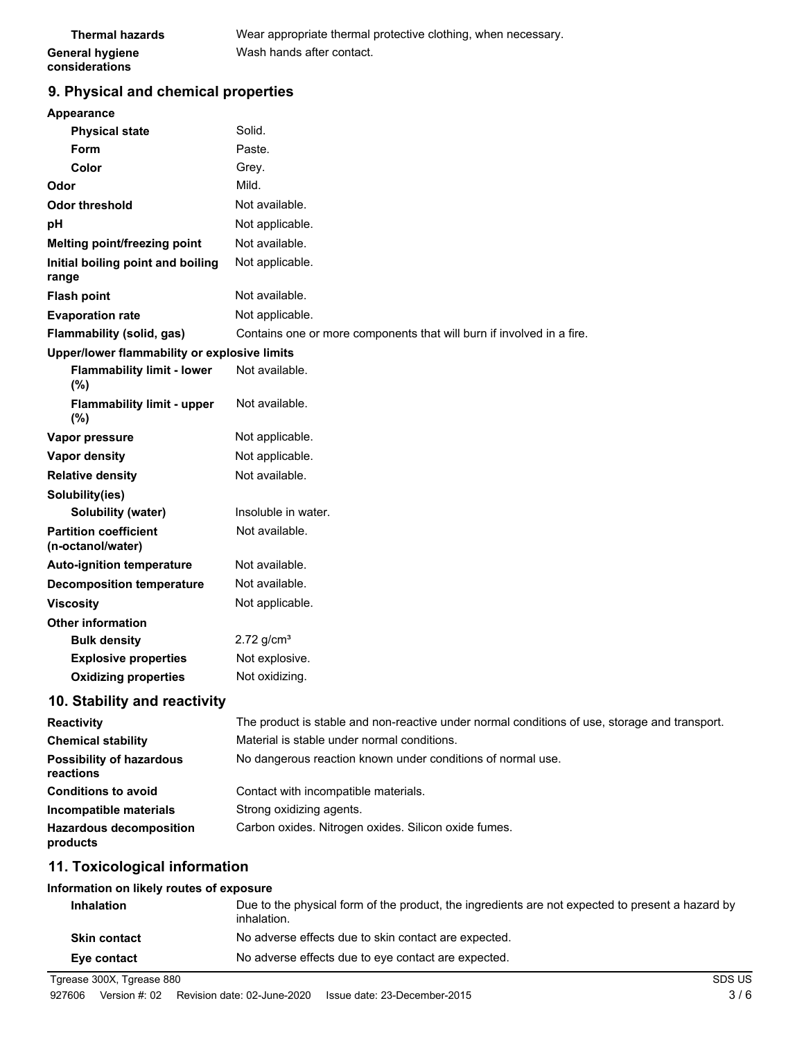| <b>Thermal hazards</b> | Wear appropriate thermal protective clothing, when necessary. |
|------------------------|---------------------------------------------------------------|
| <b>General hygiene</b> | Wash hands after contact.                                     |
| considerations         |                                                               |

# **9. Physical and chemical properties**

| Appearance                                                       |                                                                                              |  |
|------------------------------------------------------------------|----------------------------------------------------------------------------------------------|--|
| <b>Physical state</b>                                            | Solid.                                                                                       |  |
| Form                                                             | Paste.                                                                                       |  |
| Color                                                            | Grey.                                                                                        |  |
| Odor                                                             | Mild.                                                                                        |  |
| Odor threshold                                                   | Not available.                                                                               |  |
| рH                                                               | Not applicable.                                                                              |  |
| Melting point/freezing point                                     | Not available.                                                                               |  |
| Initial boiling point and boiling<br>range                       | Not applicable.                                                                              |  |
| <b>Flash point</b>                                               | Not available.                                                                               |  |
| <b>Evaporation rate</b>                                          | Not applicable.                                                                              |  |
| <b>Flammability (solid, gas)</b>                                 | Contains one or more components that will burn if involved in a fire.                        |  |
| Upper/lower flammability or explosive limits                     |                                                                                              |  |
| <b>Flammability limit - lower</b><br>(%)                         | Not available.                                                                               |  |
| <b>Flammability limit - upper</b><br>$(\%)$                      | Not available.                                                                               |  |
| Vapor pressure                                                   | Not applicable.                                                                              |  |
| <b>Vapor density</b>                                             | Not applicable.                                                                              |  |
| <b>Relative density</b>                                          | Not available.                                                                               |  |
| Solubility(ies)                                                  |                                                                                              |  |
| Solubility (water)                                               | Insoluble in water.                                                                          |  |
| <b>Partition coefficient</b><br>(n-octanol/water)                | Not available.                                                                               |  |
| <b>Auto-ignition temperature</b>                                 | Not available.                                                                               |  |
| <b>Decomposition temperature</b>                                 | Not available.                                                                               |  |
| <b>Viscosity</b>                                                 | Not applicable.                                                                              |  |
| <b>Other information</b>                                         |                                                                                              |  |
| <b>Bulk density</b>                                              | $2.72$ g/cm <sup>3</sup>                                                                     |  |
| <b>Explosive properties</b>                                      | Not explosive.                                                                               |  |
| <b>Oxidizing properties</b>                                      | Not oxidizing.                                                                               |  |
| 10. Stability and reactivity                                     |                                                                                              |  |
| $\mathbf{D} = \mathbf{A} + \mathbf{A} + \mathbf{A} + \mathbf{A}$ | The product is stable and nep resoftive under permal conditions of use, stereos and trapened |  |

| The product is stable and non-reactive under normal conditions of use, storage and transport. |  |
|-----------------------------------------------------------------------------------------------|--|
| Material is stable under normal conditions.                                                   |  |
| No dangerous reaction known under conditions of normal use.                                   |  |
| Contact with incompatible materials.                                                          |  |
| Strong oxidizing agents.                                                                      |  |
| Carbon oxides. Nitrogen oxides. Silicon oxide fumes.                                          |  |
|                                                                                               |  |

# **11. Toxicological information**

#### **Information on likely routes of exposure**

| <b>Inhalation</b>   | Due to the physical form of the product, the ingredients are not expected to present a hazard by<br>inhalation. |
|---------------------|-----------------------------------------------------------------------------------------------------------------|
| <b>Skin contact</b> | No adverse effects due to skin contact are expected.                                                            |
| Eye contact         | No adverse effects due to eye contact are expected.                                                             |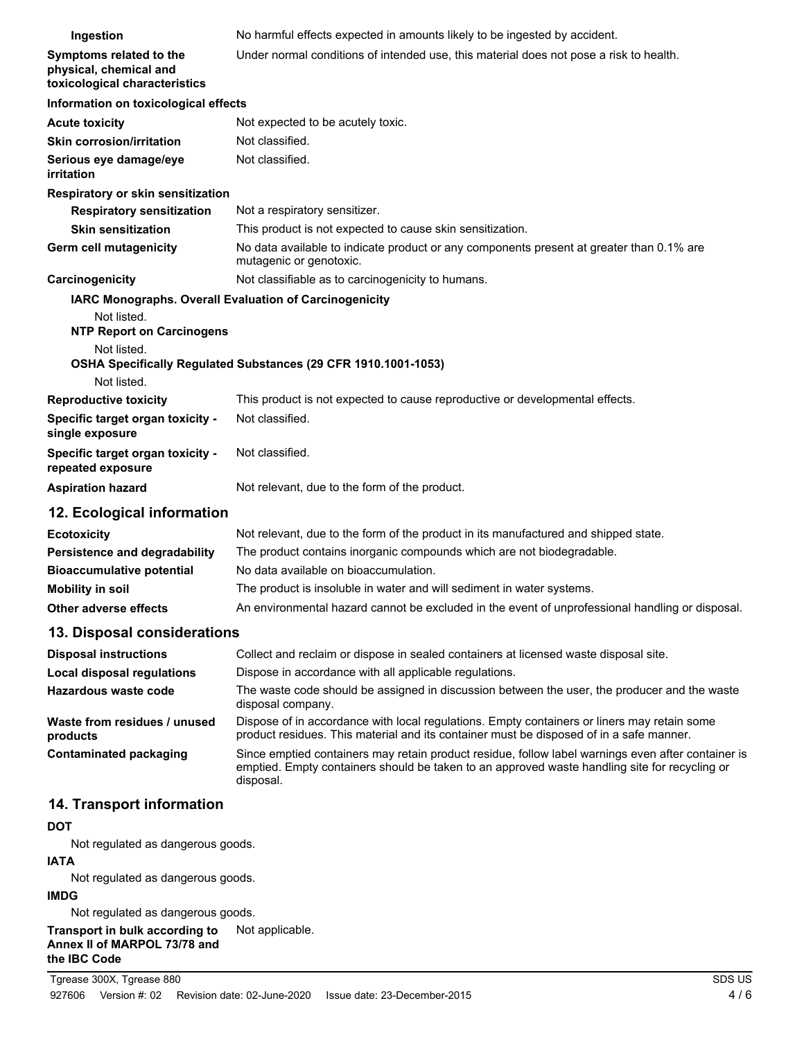| Ingestion                                                                           | No harmful effects expected in amounts likely to be ingested by accident.                                                                                                              |  |
|-------------------------------------------------------------------------------------|----------------------------------------------------------------------------------------------------------------------------------------------------------------------------------------|--|
| Symptoms related to the<br>physical, chemical and<br>toxicological characteristics  | Under normal conditions of intended use, this material does not pose a risk to health.                                                                                                 |  |
| Information on toxicological effects                                                |                                                                                                                                                                                        |  |
| <b>Acute toxicity</b>                                                               | Not expected to be acutely toxic.                                                                                                                                                      |  |
| <b>Skin corrosion/irritation</b>                                                    | Not classified.                                                                                                                                                                        |  |
| Serious eye damage/eye<br>irritation                                                | Not classified.                                                                                                                                                                        |  |
| Respiratory or skin sensitization                                                   |                                                                                                                                                                                        |  |
| <b>Respiratory sensitization</b>                                                    | Not a respiratory sensitizer.                                                                                                                                                          |  |
| <b>Skin sensitization</b>                                                           | This product is not expected to cause skin sensitization.                                                                                                                              |  |
| Germ cell mutagenicity                                                              | No data available to indicate product or any components present at greater than 0.1% are<br>mutagenic or genotoxic.                                                                    |  |
| Carcinogenicity                                                                     | Not classifiable as to carcinogenicity to humans.                                                                                                                                      |  |
|                                                                                     | IARC Monographs. Overall Evaluation of Carcinogenicity                                                                                                                                 |  |
| Not listed.<br><b>NTP Report on Carcinogens</b>                                     |                                                                                                                                                                                        |  |
| Not listed.                                                                         | OSHA Specifically Regulated Substances (29 CFR 1910.1001-1053)                                                                                                                         |  |
| Not listed.                                                                         | This product is not expected to cause reproductive or developmental effects.                                                                                                           |  |
| <b>Reproductive toxicity</b><br>Specific target organ toxicity -<br>single exposure | Not classified.                                                                                                                                                                        |  |
| Specific target organ toxicity -<br>repeated exposure                               | Not classified.                                                                                                                                                                        |  |
| <b>Aspiration hazard</b>                                                            | Not relevant, due to the form of the product.                                                                                                                                          |  |
| 12. Ecological information                                                          |                                                                                                                                                                                        |  |
| <b>Ecotoxicity</b>                                                                  | Not relevant, due to the form of the product in its manufactured and shipped state.                                                                                                    |  |
| Persistence and degradability                                                       | The product contains inorganic compounds which are not biodegradable.                                                                                                                  |  |
| <b>Bioaccumulative potential</b>                                                    | No data available on bioaccumulation.                                                                                                                                                  |  |
| <b>Mobility in soil</b>                                                             | The product is insoluble in water and will sediment in water systems.                                                                                                                  |  |
| Other adverse effects                                                               | An environmental hazard cannot be excluded in the event of unprofessional handling or disposal.                                                                                        |  |
| 13. Disposal considerations                                                         |                                                                                                                                                                                        |  |
| <b>Disposal instructions</b>                                                        | Collect and reclaim or dispose in sealed containers at licensed waste disposal site.                                                                                                   |  |
| Local disposal regulations                                                          | Dispose in accordance with all applicable regulations.                                                                                                                                 |  |
| Hazardous waste code                                                                | The waste code should be assigned in discussion between the user, the producer and the waste<br>disposal company.                                                                      |  |
| Waste from residues / unused<br>products                                            | Dispose of in accordance with local regulations. Empty containers or liners may retain some<br>product residues. This material and its container must be disposed of in a safe manner. |  |
| Contaminated nackaging                                                              | Since emptied containers may retain product residue follow label warnings even after container is                                                                                      |  |

Since emptied containers may retain product residue, follow label warnings even after container is emptied. Empty containers should be taken to an approved waste handling site for recycling or disposal. **Contaminated packaging**

# **14. Transport information**

### **DOT**

Not regulated as dangerous goods.

# **IATA**

Not regulated as dangerous goods.

### **IMDG**

Not regulated as dangerous goods.

#### **Transport in bulk according to** Not applicable. **Annex II of MARPOL 73/78 and the IBC Code**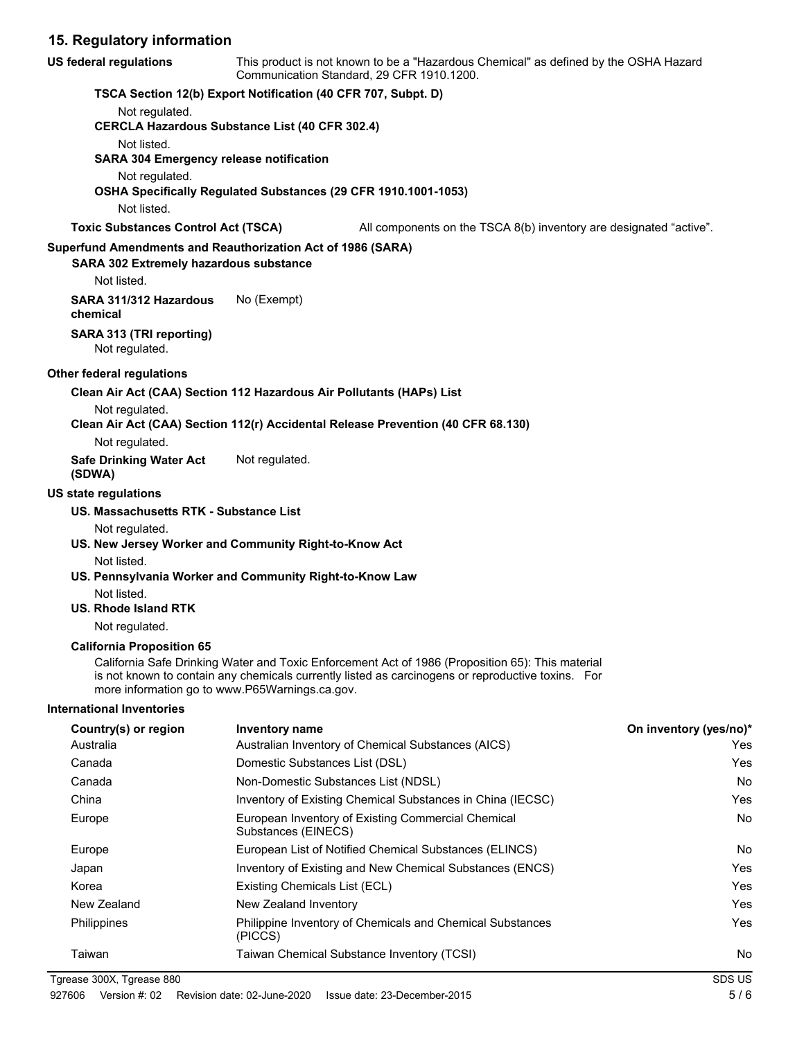# **15. Regulatory information**

| <b>US federal regulations</b>                  | This product is not known to be a "Hazardous Chemical" as defined by the OSHA Hazard<br>Communication Standard, 29 CFR 1910.1200.                                                                                                                       |                        |
|------------------------------------------------|---------------------------------------------------------------------------------------------------------------------------------------------------------------------------------------------------------------------------------------------------------|------------------------|
|                                                | TSCA Section 12(b) Export Notification (40 CFR 707, Subpt. D)                                                                                                                                                                                           |                        |
| Not regulated.                                 |                                                                                                                                                                                                                                                         |                        |
|                                                | <b>CERCLA Hazardous Substance List (40 CFR 302.4)</b>                                                                                                                                                                                                   |                        |
| Not listed.                                    |                                                                                                                                                                                                                                                         |                        |
| <b>SARA 304 Emergency release notification</b> |                                                                                                                                                                                                                                                         |                        |
| Not regulated.                                 |                                                                                                                                                                                                                                                         |                        |
|                                                | OSHA Specifically Regulated Substances (29 CFR 1910.1001-1053)                                                                                                                                                                                          |                        |
| Not listed.                                    |                                                                                                                                                                                                                                                         |                        |
| <b>Toxic Substances Control Act (TSCA)</b>     | All components on the TSCA 8(b) inventory are designated "active".                                                                                                                                                                                      |                        |
|                                                | Superfund Amendments and Reauthorization Act of 1986 (SARA)                                                                                                                                                                                             |                        |
| SARA 302 Extremely hazardous substance         |                                                                                                                                                                                                                                                         |                        |
| Not listed.                                    |                                                                                                                                                                                                                                                         |                        |
| SARA 311/312 Hazardous<br>chemical             | No (Exempt)                                                                                                                                                                                                                                             |                        |
| SARA 313 (TRI reporting)<br>Not regulated.     |                                                                                                                                                                                                                                                         |                        |
| Other federal regulations                      |                                                                                                                                                                                                                                                         |                        |
|                                                | Clean Air Act (CAA) Section 112 Hazardous Air Pollutants (HAPs) List                                                                                                                                                                                    |                        |
| Not regulated.                                 | Clean Air Act (CAA) Section 112(r) Accidental Release Prevention (40 CFR 68.130)                                                                                                                                                                        |                        |
| Not regulated.                                 |                                                                                                                                                                                                                                                         |                        |
| <b>Safe Drinking Water Act</b><br>(SDWA)       | Not regulated.                                                                                                                                                                                                                                          |                        |
| <b>US state regulations</b>                    |                                                                                                                                                                                                                                                         |                        |
| US. Massachusetts RTK - Substance List         |                                                                                                                                                                                                                                                         |                        |
| Not regulated.                                 |                                                                                                                                                                                                                                                         |                        |
| Not listed.                                    | US. New Jersey Worker and Community Right-to-Know Act                                                                                                                                                                                                   |                        |
|                                                | US. Pennsylvania Worker and Community Right-to-Know Law                                                                                                                                                                                                 |                        |
| Not listed.                                    |                                                                                                                                                                                                                                                         |                        |
| US. Rhode Island RTK                           |                                                                                                                                                                                                                                                         |                        |
| Not regulated.                                 |                                                                                                                                                                                                                                                         |                        |
| <b>California Proposition 65</b>               |                                                                                                                                                                                                                                                         |                        |
|                                                | California Safe Drinking Water and Toxic Enforcement Act of 1986 (Proposition 65): This material<br>is not known to contain any chemicals currently listed as carcinogens or reproductive toxins. For<br>more information go to www.P65Warnings.ca.gov. |                        |
| <b>International Inventories</b>               |                                                                                                                                                                                                                                                         |                        |
| Country(s) or region                           | Inventory name                                                                                                                                                                                                                                          | On inventory (yes/no)* |
| Australia                                      | Australian Inventory of Chemical Substances (AICS)                                                                                                                                                                                                      | Yes                    |
| Canada                                         | Domestic Substances List (DSL)                                                                                                                                                                                                                          | Yes                    |
| Canada                                         | Non-Domestic Substances List (NDSL)                                                                                                                                                                                                                     | No                     |
| China                                          | Inventory of Existing Chemical Substances in China (IECSC)                                                                                                                                                                                              | Yes                    |
| Europe                                         | European Inventory of Existing Commercial Chemical<br>Substances (EINECS)                                                                                                                                                                               | No                     |
| Europe                                         | European List of Notified Chemical Substances (ELINCS)                                                                                                                                                                                                  | No                     |
| Japan                                          | Inventory of Existing and New Chemical Substances (ENCS)                                                                                                                                                                                                | Yes                    |
| Korea                                          | Existing Chemicals List (ECL)                                                                                                                                                                                                                           | Yes                    |
| New Zealand                                    | New Zealand Inventory                                                                                                                                                                                                                                   | Yes                    |
| Philippines                                    | Philippine Inventory of Chemicals and Chemical Substances<br>(PICCS)                                                                                                                                                                                    | Yes                    |
| Taiwan                                         | Taiwan Chemical Substance Inventory (TCSI)                                                                                                                                                                                                              | No                     |